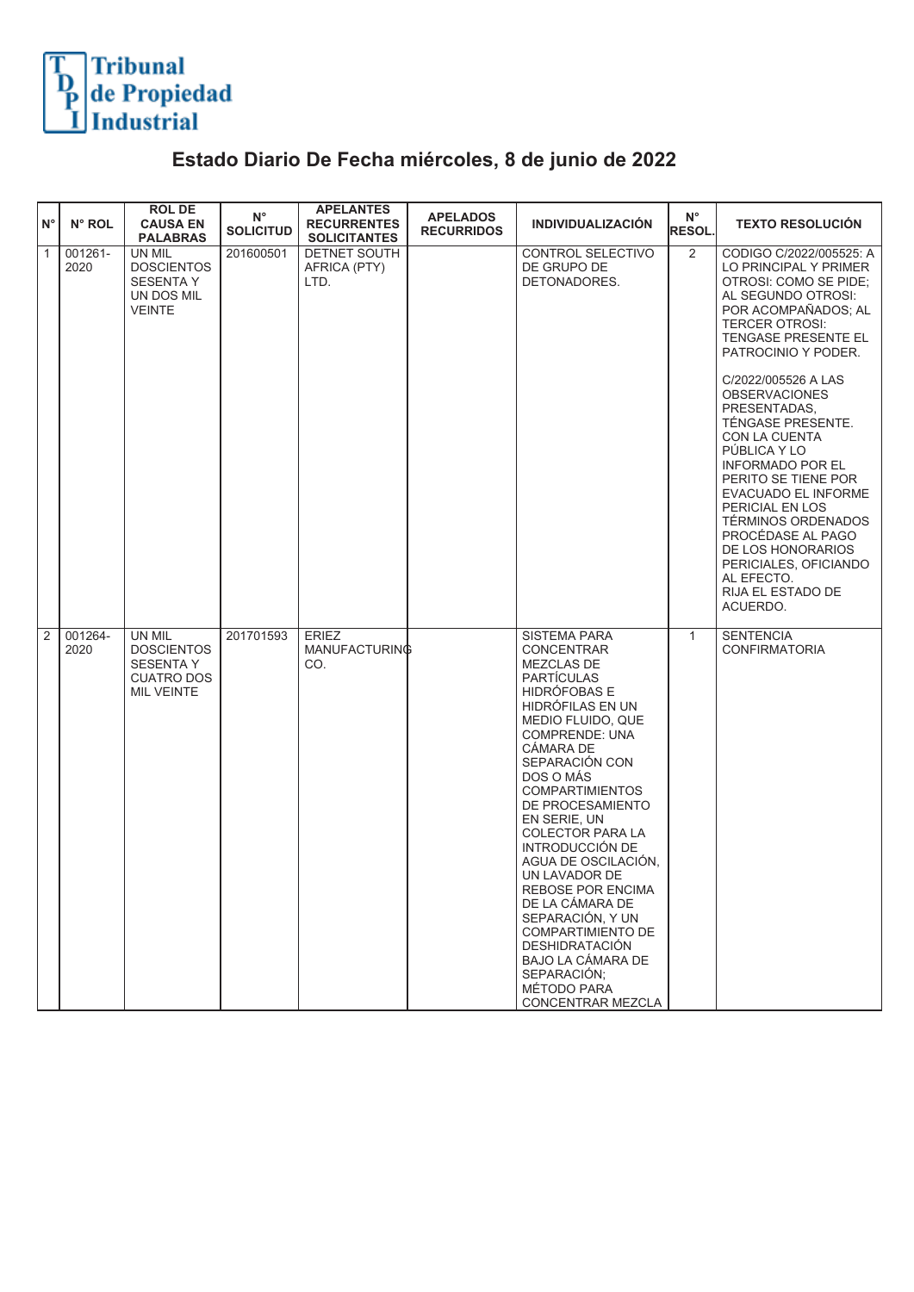

## **Estado Diario De Fecha miércoles, 8 de junio de 2022**

| $N^{\circ}$    | N° ROL          | <b>ROL DE</b><br><b>CAUSA EN</b><br><b>PALABRAS</b>                                       | $N^{\circ}$<br><b>SOLICITUD</b> | <b>APELANTES</b><br><b>RECURRENTES</b><br><b>SOLICITANTES</b> | <b>APELADOS</b><br><b>RECURRIDOS</b> | <b>INDIVIDUALIZACIÓN</b>                                                                                                                                                                                                                                                                                                                                                                                                                                                                                                                               | $N^{\circ}$<br><b>RESOL</b> | <b>TEXTO RESOLUCIÓN</b>                                                                                                                                                                                                                                                                                                                                                                                                                                                                                                                                |
|----------------|-----------------|-------------------------------------------------------------------------------------------|---------------------------------|---------------------------------------------------------------|--------------------------------------|--------------------------------------------------------------------------------------------------------------------------------------------------------------------------------------------------------------------------------------------------------------------------------------------------------------------------------------------------------------------------------------------------------------------------------------------------------------------------------------------------------------------------------------------------------|-----------------------------|--------------------------------------------------------------------------------------------------------------------------------------------------------------------------------------------------------------------------------------------------------------------------------------------------------------------------------------------------------------------------------------------------------------------------------------------------------------------------------------------------------------------------------------------------------|
| $\mathbf{1}$   | 001261-<br>2020 | UN MIL<br><b>DOSCIENTOS</b><br><b>SESENTA Y</b><br>UN DOS MIL<br><b>VEINTE</b>            | 201600501                       | DETNET SOUTH<br>AFRICA (PTY)<br>LTD.                          |                                      | CONTROL SELECTIVO<br>DE GRUPO DE<br>DETONADORES.                                                                                                                                                                                                                                                                                                                                                                                                                                                                                                       | $\overline{2}$              | CODIGO C/2022/005525: A<br>LO PRINCIPAL Y PRIMER<br>OTROSI: COMO SE PIDE:<br>AL SEGUNDO OTROSI:<br>POR ACOMPAÑADOS; AL<br><b>TERCER OTROSI:</b><br>TENGASE PRESENTE EL<br>PATROCINIO Y PODER.<br>C/2022/005526 A LAS<br><b>OBSERVACIONES</b><br>PRESENTADAS,<br>TÉNGASE PRESENTE.<br>CON LA CUENTA<br>PÚBLICA Y LO<br><b>INFORMADO POR EL</b><br>PERITO SE TIENE POR<br>EVACUADO EL INFORME<br>PERICIAL EN LOS<br>TÉRMINOS ORDENADOS<br>PROCÉDASE AL PAGO<br>DE LOS HONORARIOS<br>PERICIALES, OFICIANDO<br>AL EFECTO.<br>RIJA EL ESTADO DE<br>ACUERDO. |
| $\overline{2}$ | 001264-<br>2020 | UN MIL<br><b>DOSCIENTOS</b><br><b>SESENTA Y</b><br><b>CUATRO DOS</b><br><b>MIL VEINTE</b> | 201701593                       | <b>ERIEZ</b><br><b>MANUFACTURING</b><br>CO.                   |                                      | <b>SISTEMA PARA</b><br>CONCENTRAR<br><b>MEZCLAS DE</b><br><b>PARTÍCULAS</b><br><b>HIDRÓFOBAS E</b><br>HIDRÓFILAS EN UN<br>MEDIO FLUIDO, QUE<br><b>COMPRENDE: UNA</b><br>CÁMARA DE<br>SEPARACIÓN CON<br>DOS O MÁS<br><b>COMPARTIMIENTOS</b><br>DE PROCESAMIENTO<br>EN SERIE, UN<br><b>COLECTOR PARA LA</b><br>INTRODUCCIÓN DE<br>AGUA DE OSCILACIÓN,<br>UN LAVADOR DE<br>REBOSE POR ENCIMA<br>DE LA CÁMARA DE<br>SEPARACIÓN, Y UN<br>COMPARTIMIENTO DE<br><b>DESHIDRATACIÓN</b><br>BAJO LA CÁMARA DE<br>SEPARACIÓN;<br>MÉTODO PARA<br>CONCENTRAR MEZCLA | $\mathbf{1}$                | <b>SENTENCIA</b><br><b>CONFIRMATORIA</b>                                                                                                                                                                                                                                                                                                                                                                                                                                                                                                               |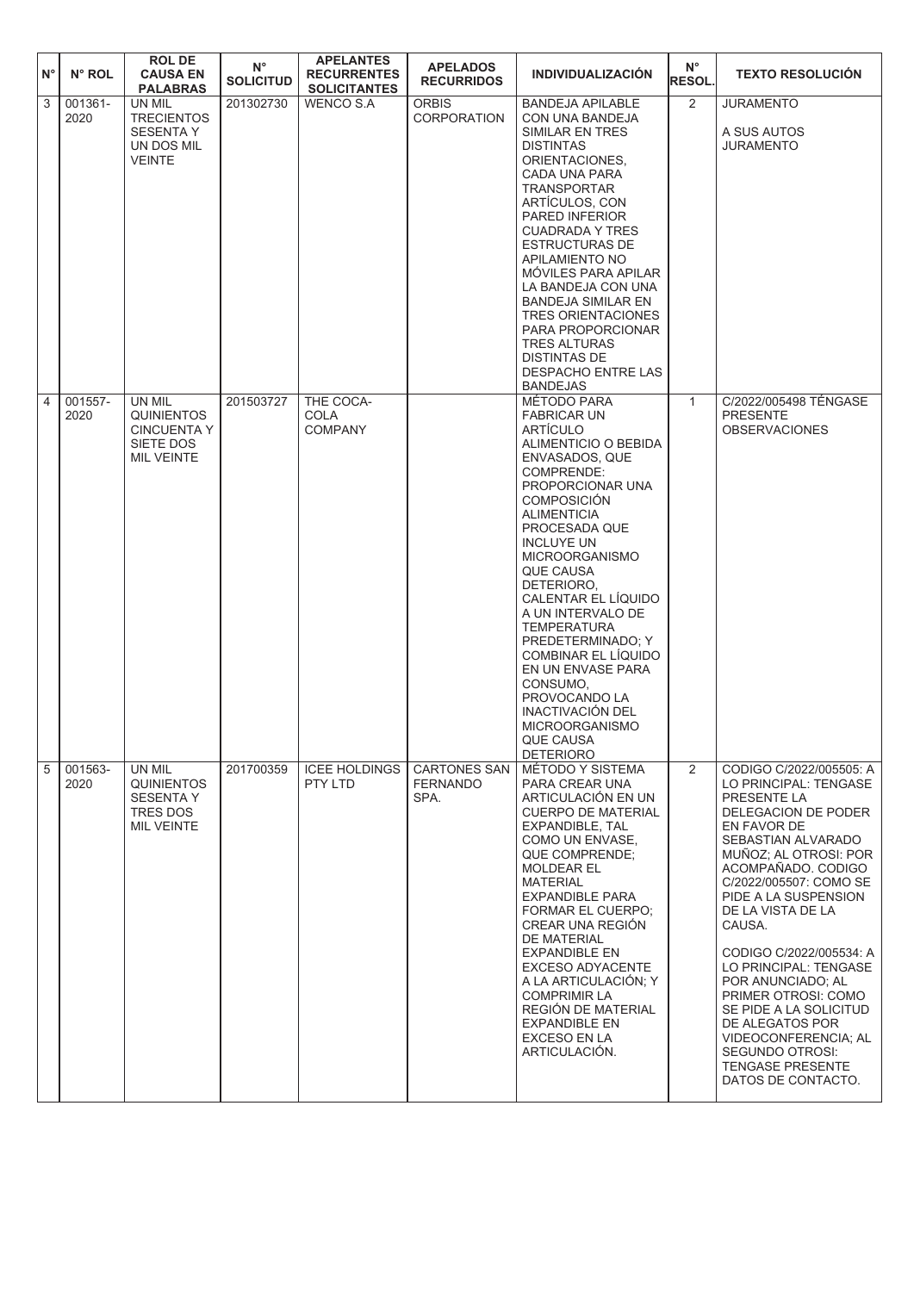| $N^{\circ}$ | $N^{\circ}$ ROL | <b>ROL DE</b><br><b>CAUSA EN</b><br><b>PALABRAS</b>                                 | $N^{\circ}$<br><b>SOLICITUD</b> | <b>APELANTES</b><br><b>RECURRENTES</b><br><b>SOLICITANTES</b> | <b>APELADOS</b><br><b>RECURRIDOS</b>           | <b>INDIVIDUALIZACIÓN</b>                                                                                                                                                                                                                                                                                                                                                                                                                                                                                      | $N^{\circ}$<br>RESOL. | <b>TEXTO RESOLUCIÓN</b>                                                                                                                                                                                                                                                                                                                                                                                                                                                                              |
|-------------|-----------------|-------------------------------------------------------------------------------------|---------------------------------|---------------------------------------------------------------|------------------------------------------------|---------------------------------------------------------------------------------------------------------------------------------------------------------------------------------------------------------------------------------------------------------------------------------------------------------------------------------------------------------------------------------------------------------------------------------------------------------------------------------------------------------------|-----------------------|------------------------------------------------------------------------------------------------------------------------------------------------------------------------------------------------------------------------------------------------------------------------------------------------------------------------------------------------------------------------------------------------------------------------------------------------------------------------------------------------------|
| 3           | 001361-<br>2020 | UN MIL<br><b>TRECIENTOS</b><br><b>SESENTA Y</b><br>UN DOS MIL<br><b>VEINTE</b>      | 201302730                       | <b>WENCO S.A</b>                                              | <b>ORBIS</b><br><b>CORPORATION</b>             | <b>BANDEJA APILABLE</b><br>CON UNA BANDEJA<br>SIMILAR EN TRES<br><b>DISTINTAS</b><br>ORIENTACIONES,<br>CADA UNA PARA<br><b>TRANSPORTAR</b><br>ARTÍCULOS, CON<br><b>PARED INFERIOR</b><br><b>CUADRADA Y TRES</b><br><b>ESTRUCTURAS DE</b><br>APILAMIENTO NO<br><b>MOVILES PARA APILAR</b><br>LA BANDEJA CON UNA<br><b>BANDEJA SIMILAR EN</b><br><b>TRES ORIENTACIONES</b><br>PARA PROPORCIONAR<br><b>TRES ALTURAS</b><br><b>DISTINTAS DE</b><br>DESPACHO ENTRE LAS<br><b>BANDEJAS</b>                          | 2                     | <b>JURAMENTO</b><br>A SUS AUTOS<br><b>JURAMENTO</b>                                                                                                                                                                                                                                                                                                                                                                                                                                                  |
| 4           | 001557-<br>2020 | UN MIL<br><b>QUINIENTOS</b><br><b>CINCUENTA Y</b><br>SIETE DOS<br><b>MIL VEINTE</b> | 201503727                       | THE COCA-<br><b>COLA</b><br><b>COMPANY</b>                    |                                                | MÉTODO PARA<br><b>FABRICAR UN</b><br>ARTÍCULO<br>ALIMENTICIO O BEBIDA<br>ENVASADOS, QUE<br>COMPRENDE:<br>PROPORCIONAR UNA<br><b>COMPOSICIÓN</b><br><b>ALIMENTICIA</b><br>PROCESADA QUE<br><b>INCLUYE UN</b><br><b>MICROORGANISMO</b><br>QUE CAUSA<br>DETERIORO,<br>CALENTAR EL LÍQUIDO<br>A UN INTERVALO DE<br><b>TEMPERATURA</b><br>PREDETERMINADO; Y<br>COMBINAR EL LÍQUIDO<br>EN UN ENVASE PARA<br>CONSUMO,<br>PROVOCANDO LA<br>INACTIVACIÓN DEL<br><b>MICROORGANISMO</b><br>QUE CAUSA<br><b>DETERIORO</b> | $\mathbf{1}$          | C/2022/005498 TÉNGASE<br><b>PRESENTE</b><br><b>OBSERVACIONES</b>                                                                                                                                                                                                                                                                                                                                                                                                                                     |
| 5           | 001563-<br>2020 | UN MIL<br><b>QUINIENTOS</b><br><b>SESENTA Y</b><br>TRES DOS<br><b>MIL VEINTE</b>    | 201700359                       | <b>ICEE HOLDINGS</b><br>PTY LTD                               | <b>CARTONES SAN</b><br><b>FERNANDO</b><br>SPA. | MÉTODO Y SISTEMA<br>PARA CREAR UNA<br>ARTICULACIÓN EN UN<br><b>CUERPO DE MATERIAL</b><br>EXPANDIBLE, TAL<br>COMO UN ENVASE.<br>QUE COMPRENDE;<br><b>MOLDEAR EL</b><br><b>MATERIAL</b><br><b>EXPANDIBLE PARA</b><br><b>FORMAR EL CUERPO:</b><br>CREAR UNA REGIÓN<br>DE MATERIAL<br><b>EXPANDIBLE EN</b><br>EXCESO ADYACENTE<br>A LA ARTICULACIÓN; Y<br><b>COMPRIMIR LA</b><br>REGIÓN DE MATERIAL<br><b>EXPANDIBLE EN</b><br>EXCESO EN LA<br>ARTICULACIÓN.                                                      | 2                     | CODIGO C/2022/005505: A<br>LO PRINCIPAL: TENGASE<br>PRESENTE LA<br>DELEGACION DE PODER<br>EN FAVOR DE<br>SEBASTIAN ALVARADO<br>MUÑOZ; AL OTROSI: POR<br>ACOMPAÑADO, CODIGO<br>C/2022/005507: COMO SE<br>PIDE A LA SUSPENSION<br>DE LA VISTA DE LA<br>CAUSA.<br>CODIGO C/2022/005534: A<br>LO PRINCIPAL: TENGASE<br>POR ANUNCIADO; AL<br>PRIMER OTROSI: COMO<br>SE PIDE A LA SOLICITUD<br>DE ALEGATOS POR<br>VIDEOCONFERENCIA; AL<br>SEGUNDO OTROSI:<br><b>TENGASE PRESENTE</b><br>DATOS DE CONTACTO. |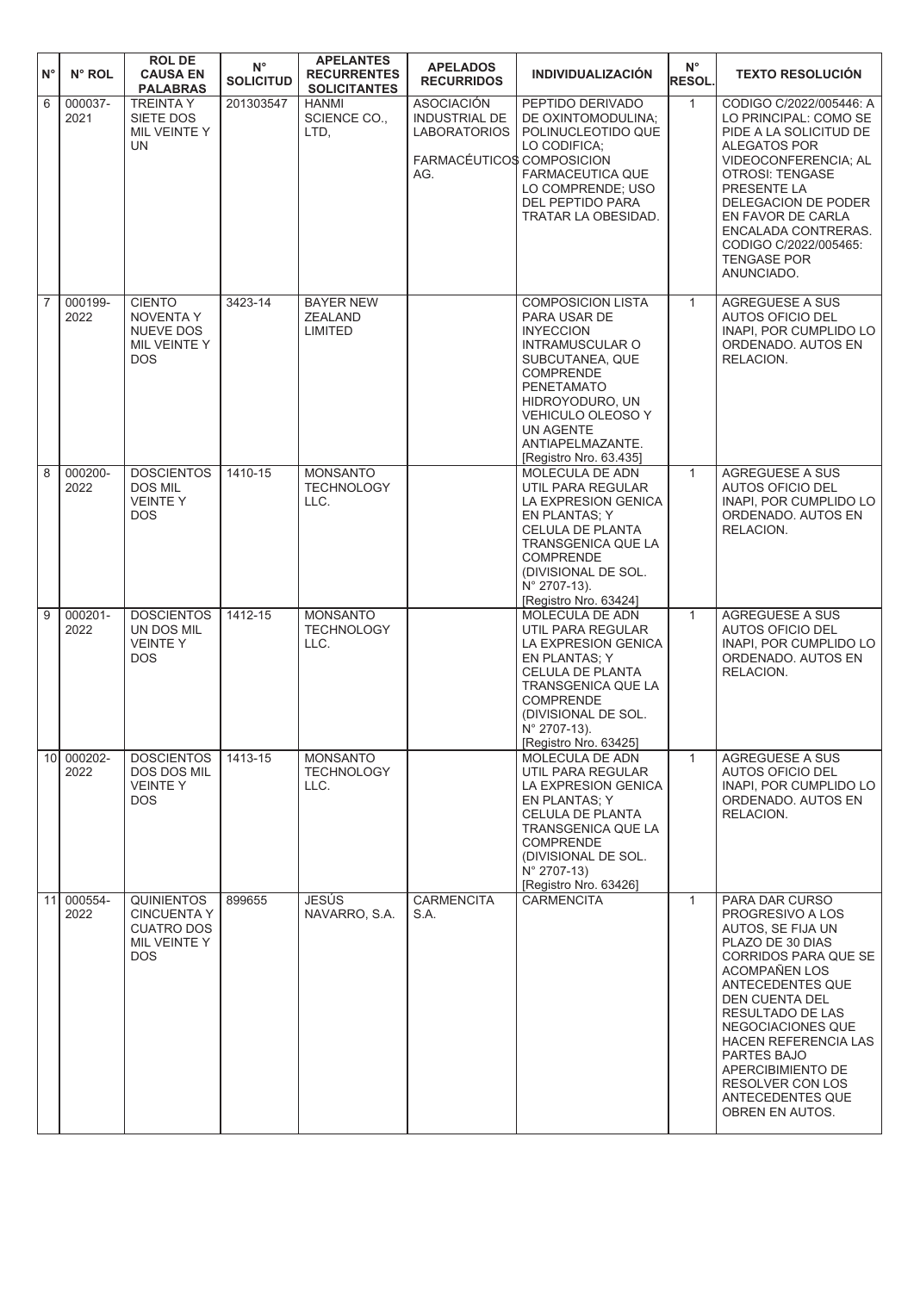| ١N°            | N° ROL             | <b>ROLDE</b><br><b>CAUSA EN</b><br><b>PALABRAS</b>                                         | $N^{\circ}$<br><b>SOLICITUD</b> | <b>APELANTES</b><br><b>RECURRENTES</b><br><b>SOLICITANTES</b> | <b>APELADOS</b><br><b>RECURRIDOS</b>                                                                 | <b>INDIVIDUALIZACIÓN</b>                                                                                                                                                                                                                              | $N^{\circ}$<br><b>RESOL.</b> | <b>TEXTO RESOLUCIÓN</b>                                                                                                                                                                                                                                                                                                           |
|----------------|--------------------|--------------------------------------------------------------------------------------------|---------------------------------|---------------------------------------------------------------|------------------------------------------------------------------------------------------------------|-------------------------------------------------------------------------------------------------------------------------------------------------------------------------------------------------------------------------------------------------------|------------------------------|-----------------------------------------------------------------------------------------------------------------------------------------------------------------------------------------------------------------------------------------------------------------------------------------------------------------------------------|
| $\overline{6}$ | 000037-<br>2021    | <b>TREINTA Y</b><br>SIETE DOS<br>MIL VEINTE Y<br><b>UN</b>                                 | 201303547                       | <b>HANMI</b><br>SCIENCE CO.,<br>LTD.                          | <b>ASOCIACIÓN</b><br><b>INDUSTRIAL DE</b><br><b>LABORATORIOS</b><br>FARMACÉUTICOS COMPOSICION<br>AG. | PEPTIDO DERIVADO<br>DE OXINTOMODULINA;<br>POLINUCLEOTIDO QUE<br>LO CODIFICA:<br><b>FARMACEUTICA QUE</b><br>LO COMPRENDE; USO<br>DEL PEPTIDO PARA<br>TRATAR LA OBESIDAD.                                                                               | $\mathbf{1}$                 | CODIGO C/2022/005446: A<br>LO PRINCIPAL: COMO SE<br>PIDE A LA SOLICITUD DE<br>ALEGATOS POR<br>VIDEOCONFERENCIA; AL<br><b>OTROSI: TENGASE</b><br>PRESENTE LA<br>DELEGACION DE PODER<br>EN FAVOR DE CARLA<br>ENCALADA CONTRERAS.<br>CODIGO C/2022/005465:<br><b>TENGASE POR</b><br>ANUNCIADO.                                       |
| $\overline{7}$ | 000199-<br>2022    | <b>CIENTO</b><br><b>NOVENTA Y</b><br>NUEVE DOS<br>MIL VEINTE Y<br><b>DOS</b>               | 3423-14                         | <b>BAYER NEW</b><br><b>ZEALAND</b><br><b>LIMITED</b>          |                                                                                                      | <b>COMPOSICION LISTA</b><br>PARA USAR DE<br><b>INYECCION</b><br><b>INTRAMUSCULAR O</b><br>SUBCUTANEA, QUE<br>COMPRENDE<br>PENETAMATO<br>HIDROYODURO, UN<br><b>VEHICULO OLEOSO Y</b><br><b>UN AGENTE</b><br>ANTIAPELMAZANTE.<br>[Registro Nro. 63.435] | $\mathbf{1}$                 | <b>AGREGUESE A SUS</b><br><b>AUTOS OFICIO DEL</b><br>INAPI, POR CUMPLIDO LO<br>ORDENADO. AUTOS EN<br>RELACION.                                                                                                                                                                                                                    |
| $\overline{8}$ | 000200-<br>2022    | <b>DOSCIENTOS</b><br><b>DOS MIL</b><br><b>VEINTEY</b><br><b>DOS</b>                        | 1410-15                         | <b>MONSANTO</b><br><b>TECHNOLOGY</b><br>LLC.                  |                                                                                                      | MOLECULA DE ADN<br>UTIL PARA REGULAR<br>LA EXPRESION GENICA<br>EN PLANTAS; Y<br>CELULA DE PLANTA<br>TRANSGENICA QUE LA<br><b>COMPRENDE</b><br>(DIVISIONAL DE SOL.<br>N° 2707-13).<br>[Registro Nro. 63424]                                            | $\mathbf{1}$                 | <b>AGREGUESE A SUS</b><br><b>AUTOS OFICIO DEL</b><br>INAPI, POR CUMPLIDO LO<br>ORDENADO. AUTOS EN<br>RELACION.                                                                                                                                                                                                                    |
| $\overline{9}$ | 000201-<br>2022    | <b>DOSCIENTOS</b><br>UN DOS MIL<br><b>VEINTEY</b><br><b>DOS</b>                            | 1412-15                         | <b>MONSANTO</b><br><b>TECHNOLOGY</b><br>LLC.                  |                                                                                                      | MOLECULA DE ADN<br>UTIL PARA REGULAR<br>LA EXPRESION GENICA<br><b>EN PLANTAS: Y</b><br>CELULA DE PLANTA<br>TRANSGENICA QUE LA<br><b>COMPRENDE</b><br>(DIVISIONAL DE SOL.<br>$N^{\circ}$ 2707-13).<br>[Registro Nro. 63425]                            | $\mathbf{1}$                 | AGREGUESE A SUS<br><b>AUTOS OFICIO DEL</b><br>INAPI, POR CUMPLIDO LO<br>ORDENADO. AUTOS EN<br>RELACION.                                                                                                                                                                                                                           |
|                | 10 000202-<br>2022 | <b>DOSCIENTOS</b><br><b>DOS DOS MIL</b><br><b>VEINTEY</b><br><b>DOS</b>                    | 1413-15                         | <b>MONSANTO</b><br><b>TECHNOLOGY</b><br>LLC.                  |                                                                                                      | MOLECULA DE ADN<br>UTIL PARA REGULAR<br>LA EXPRESION GENICA<br>EN PLANTAS; Y<br>CELULA DE PLANTA<br>TRANSGENICA QUE LA<br><b>COMPRENDE</b><br>(DIVISIONAL DE SOL.<br>$N^{\circ}$ 2707-13)<br>[Registro Nro. 63426]                                    | $\mathbf{1}$                 | <b>AGREGUESE A SUS</b><br><b>AUTOS OFICIO DEL</b><br>INAPI, POR CUMPLIDO LO<br>ORDENADO, AUTOS EN<br>RELACION.                                                                                                                                                                                                                    |
| 11             | 000554-<br>2022    | <b>QUINIENTOS</b><br><b>CINCUENTA Y</b><br><b>CUATRO DOS</b><br>MIL VEINTE Y<br><b>DOS</b> | 899655                          | JESÚS<br>NAVARRO, S.A.                                        | <b>CARMENCITA</b><br>S.A.                                                                            | <b>CARMENCITA</b>                                                                                                                                                                                                                                     | $\mathbf{1}$                 | PARA DAR CURSO<br>PROGRESIVO A LOS<br>AUTOS, SE FIJA UN<br>PLAZO DE 30 DIAS<br>CORRIDOS PARA QUE SE<br>ACOMPAÑEN LOS<br>ANTECEDENTES QUE<br>DEN CUENTA DEL<br>RESULTADO DE LAS<br>NEGOCIACIONES QUE<br><b>HACEN REFERENCIA LAS</b><br>PARTES BAJO<br>APERCIBIMIENTO DE<br>RESOLVER CON LOS<br>ANTECEDENTES QUE<br>OBREN EN AUTOS. |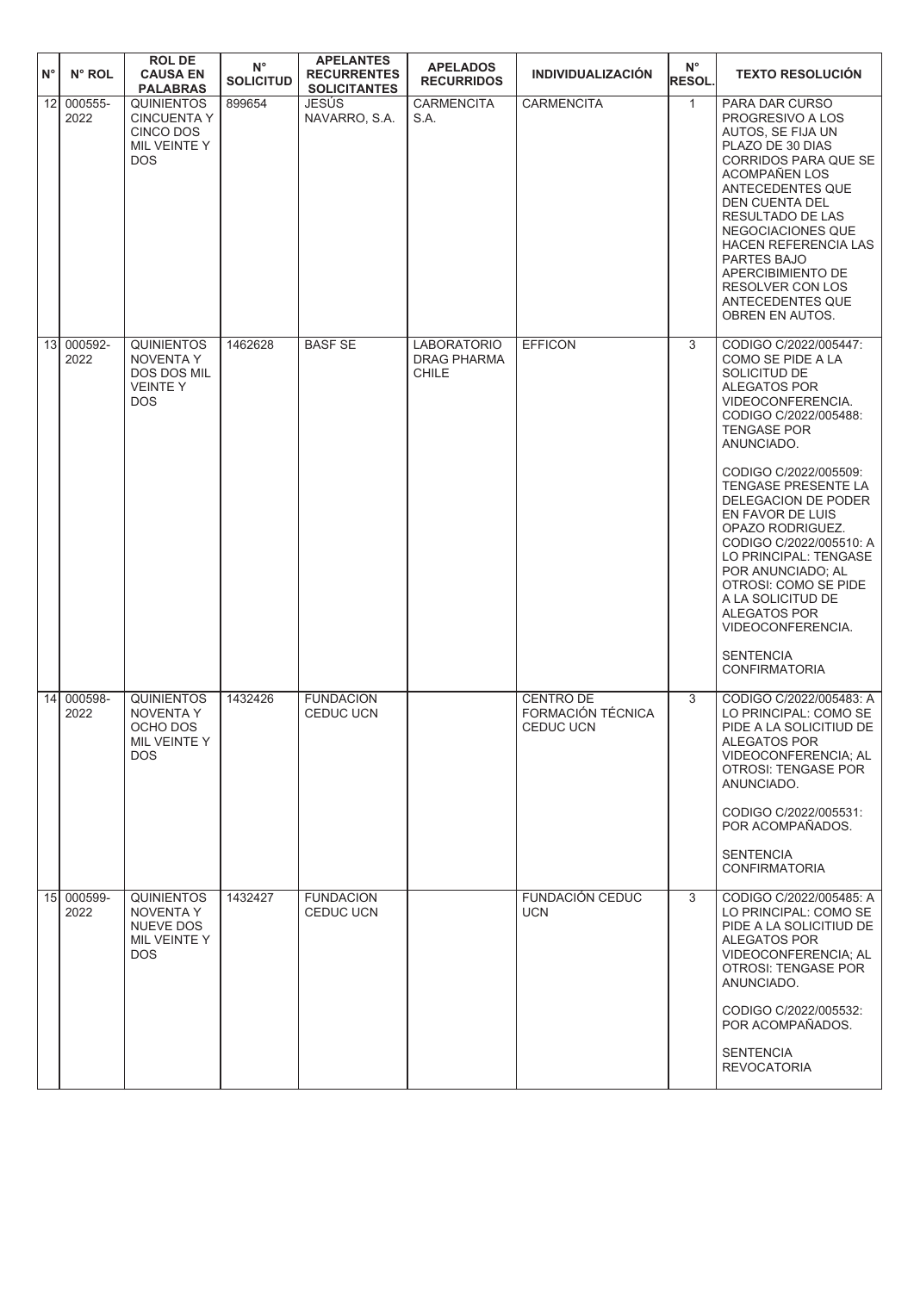| ١N° | N° ROL             | <b>ROLDE</b><br><b>CAUSA EN</b><br><b>PALABRAS</b>                                        | $\mathsf{N}^\circ$<br><b>SOLICITUD</b> | <b>APELANTES</b><br><b>RECURRENTES</b><br><b>SOLICITANTES</b> | <b>APELADOS</b><br><b>RECURRIDOS</b>                     | <b>INDIVIDUALIZACIÓN</b>                                  | $\mathsf{N}^\circ$<br><b>RESOL.</b> | <b>TEXTO RESOLUCIÓN</b>                                                                                                                                                                                                                                                                                                                                                                                                                                                                                 |
|-----|--------------------|-------------------------------------------------------------------------------------------|----------------------------------------|---------------------------------------------------------------|----------------------------------------------------------|-----------------------------------------------------------|-------------------------------------|---------------------------------------------------------------------------------------------------------------------------------------------------------------------------------------------------------------------------------------------------------------------------------------------------------------------------------------------------------------------------------------------------------------------------------------------------------------------------------------------------------|
| 12  | 000555-<br>2022    | <b>QUINIENTOS</b><br><b>CINCUENTA Y</b><br><b>CINCO DOS</b><br>MIL VEINTE Y<br><b>DOS</b> | 899654                                 | <b>JESÚS</b><br>NAVARRO, S.A.                                 | <b>CARMENCITA</b><br>S.A.                                | <b>CARMENCITA</b>                                         | $\mathbf{1}$                        | PARA DAR CURSO<br>PROGRESIVO A LOS<br>AUTOS, SE FIJA UN<br>PLAZO DE 30 DIAS<br><b>CORRIDOS PARA QUE SE</b><br>ACOMPAÑEN LOS<br>ANTECEDENTES QUE<br><b>DEN CUENTA DEL</b><br>RESULTADO DE LAS<br>NEGOCIACIONES QUE<br><b>HACEN REFERENCIA LAS</b><br><b>PARTES BAJO</b><br>APERCIBIMIENTO DE<br>RESOLVER CON LOS<br>ANTECEDENTES QUE<br>OBREN EN AUTOS.                                                                                                                                                  |
|     | 13 000592-<br>2022 | <b>QUINIENTOS</b><br><b>NOVENTA Y</b><br>DOS DOS MIL<br><b>VEINTEY</b><br><b>DOS</b>      | 1462628                                | <b>BASF SE</b>                                                | <b>LABORATORIO</b><br><b>DRAG PHARMA</b><br><b>CHILE</b> | <b>EFFICON</b>                                            | 3                                   | CODIGO C/2022/005447:<br>COMO SE PIDE A LA<br>SOLICITUD DE<br><b>ALEGATOS POR</b><br>VIDEOCONFERENCIA.<br>CODIGO C/2022/005488:<br><b>TENGASE POR</b><br>ANUNCIADO.<br>CODIGO C/2022/005509:<br><b>TENGASE PRESENTE LA</b><br>DELEGACION DE PODER<br>EN FAVOR DE LUIS<br>OPAZO RODRIGUEZ.<br>CODIGO C/2022/005510: A<br>LO PRINCIPAL: TENGASE<br>POR ANUNCIADO; AL<br>OTROSI: COMO SE PIDE<br>A LA SOLICITUD DE<br><b>ALEGATOS POR</b><br>VIDEOCONFERENCIA.<br><b>SENTENCIA</b><br><b>CONFIRMATORIA</b> |
| 14  | 000598-<br>2022    | <b>QUINIENTOS</b><br><b>NOVENTA Y</b><br>OCHO DOS<br>MIL VEINTE Y<br><b>DOS</b>           | 1432426                                | <b>FUNDACION</b><br>CEDUC UCN                                 |                                                          | <b>CENTRO DE</b><br>FORMACIÓN TÉCNICA<br><b>CEDUC UCN</b> | 3                                   | CODIGO C/2022/005483: A<br>LO PRINCIPAL: COMO SE<br>PIDE A LA SOLICITIUD DE<br><b>ALEGATOS POR</b><br>VIDEOCONFERENCIA; AL<br><b>OTROSI: TENGASE POR</b><br>ANUNCIADO.<br>CODIGO C/2022/005531:<br>POR ACOMPAÑADOS.<br><b>SENTENCIA</b><br><b>CONFIRMATORIA</b>                                                                                                                                                                                                                                         |
|     | 15 000599-<br>2022 | <b>QUINIENTOS</b><br><b>NOVENTA Y</b><br><b>NUEVE DOS</b><br>MIL VEINTE Y<br><b>DOS</b>   | 1432427                                | <b>FUNDACION</b><br><b>CEDUC UCN</b>                          |                                                          | FUNDACIÓN CEDUC<br><b>UCN</b>                             | 3                                   | CODIGO C/2022/005485: A<br>LO PRINCIPAL: COMO SE<br>PIDE A LA SOLICITIUD DE<br>ALEGATOS POR<br>VIDEOCONFERENCIA; AL<br>OTROSI: TENGASE POR<br>ANUNCIADO.<br>CODIGO C/2022/005532:<br>POR ACOMPAÑADOS.<br><b>SENTENCIA</b><br><b>REVOCATORIA</b>                                                                                                                                                                                                                                                         |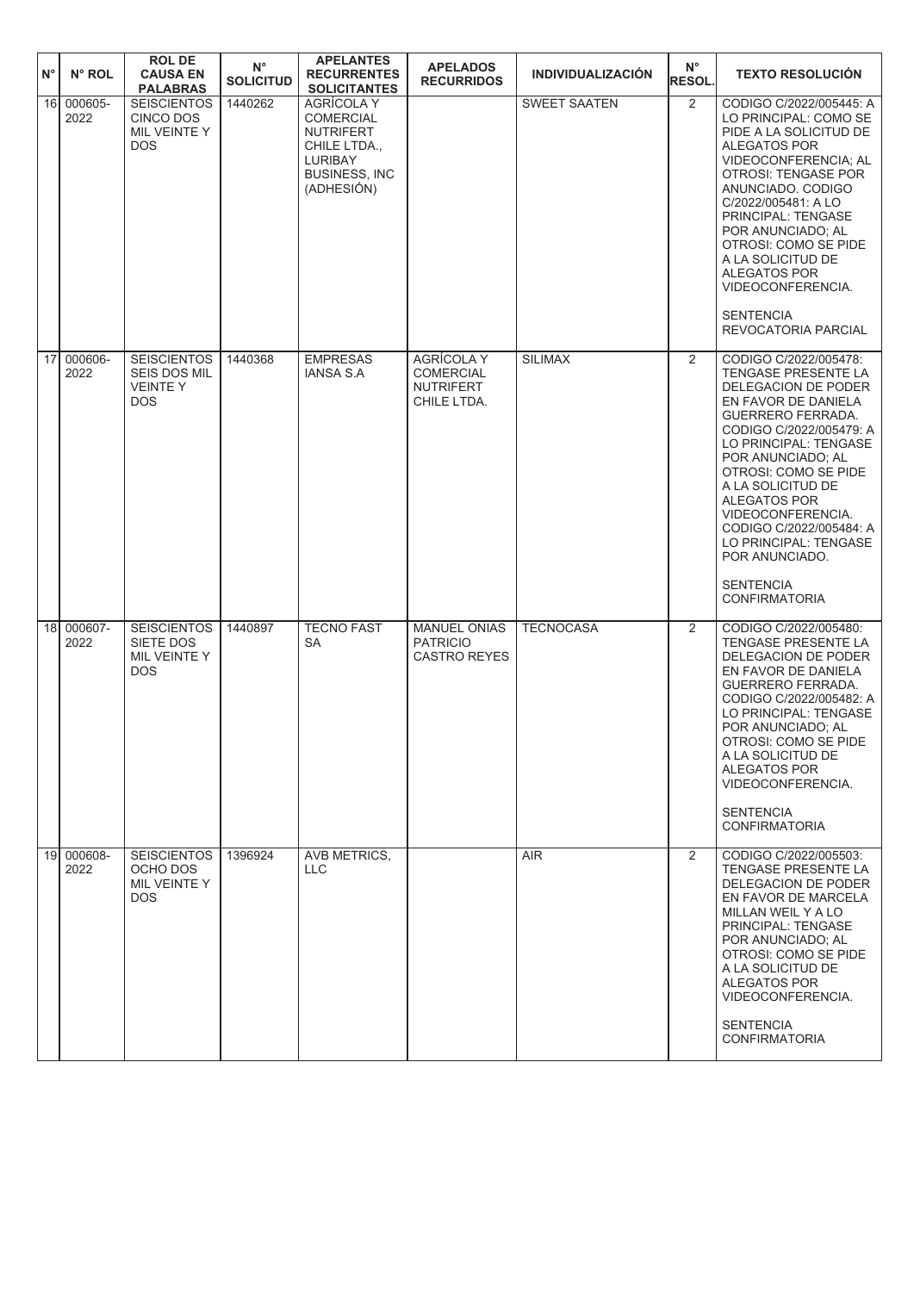| $N^{\circ}$     | N° ROL          | <b>ROL DE</b><br><b>CAUSA EN</b><br><b>PALABRAS</b>                       | $N^{\circ}$<br><b>SOLICITUD</b> | <b>APELANTES</b><br><b>RECURRENTES</b><br><b>SOLICITANTES</b>                                                              | <b>APELADOS</b><br><b>RECURRIDOS</b>                                     | <b>INDIVIDUALIZACIÓN</b> | $N^{\circ}$<br><b>RESOL.</b> | <b>TEXTO RESOLUCIÓN</b>                                                                                                                                                                                                                                                                                                                                                                                           |
|-----------------|-----------------|---------------------------------------------------------------------------|---------------------------------|----------------------------------------------------------------------------------------------------------------------------|--------------------------------------------------------------------------|--------------------------|------------------------------|-------------------------------------------------------------------------------------------------------------------------------------------------------------------------------------------------------------------------------------------------------------------------------------------------------------------------------------------------------------------------------------------------------------------|
| 16              | 000605-<br>2022 | <b>SEISCIENTOS</b><br><b>CINCO DOS</b><br>MIL VEINTE Y<br><b>DOS</b>      | 1440262                         | AGRÍCOLA Y<br><b>COMERCIAL</b><br><b>NUTRIFERT</b><br>CHILE LTDA.,<br><b>LURIBAY</b><br><b>BUSINESS, INC</b><br>(ADHESIÓN) |                                                                          | <b>SWEET SAATEN</b>      | 2                            | CODIGO C/2022/005445: A<br>LO PRINCIPAL: COMO SE<br>PIDE A LA SOLICITUD DE<br><b>ALEGATOS POR</b><br>VIDEOCONFERENCIA; AL<br><b>OTROSI: TENGASE POR</b><br>ANUNCIADO. CODIGO<br>C/2022/005481: A LO<br>PRINCIPAL: TENGASE<br>POR ANUNCIADO; AL<br>OTROSI: COMO SE PIDE<br>A LA SOLICITUD DE<br><b>ALEGATOS POR</b><br>VIDEOCONFERENCIA.<br><b>SENTENCIA</b><br>REVOCATORIA PARCIAL                                |
| 17              | 000606-<br>2022 | <b>SEISCIENTOS</b><br><b>SEIS DOS MIL</b><br><b>VEINTEY</b><br><b>DOS</b> | 1440368                         | <b>EMPRESAS</b><br><b>IANSA S.A</b>                                                                                        | <b>AGRÍCOLA Y</b><br><b>COMERCIAL</b><br><b>NUTRIFERT</b><br>CHILE LTDA. | <b>SILIMAX</b>           | 2                            | CODIGO C/2022/005478:<br><b>TENGASE PRESENTE LA</b><br><b>DELEGACION DE PODER</b><br>EN FAVOR DE DANIELA<br>GUERRERO FERRADA.<br>CODIGO C/2022/005479: A<br>LO PRINCIPAL: TENGASE<br>POR ANUNCIADO; AL<br>OTROSI: COMO SE PIDE<br>A LA SOLICITUD DE<br><b>ALEGATOS POR</b><br>VIDEOCONFERENCIA.<br>CODIGO C/2022/005484: A<br>LO PRINCIPAL: TENGASE<br>POR ANUNCIADO.<br><b>SENTENCIA</b><br><b>CONFIRMATORIA</b> |
| 18 <sup>1</sup> | 000607-<br>2022 | <b>SEISCIENTOS</b><br>SIETE DOS<br>MIL VEINTE Y<br><b>DOS</b>             | 1440897                         | <b>TECNO FAST</b><br>SA                                                                                                    | <b>MANUEL ONIAS</b><br><b>PATRICIO</b><br><b>CASTRO REYES</b>            | <b>TECNOCASA</b>         | 2                            | CODIGO C/2022/005480:<br>TENGASE PRESENTE LA<br>DELEGACION DE PODER<br>EN FAVOR DE DANIELA<br><b>GUERRERO FERRADA.</b><br>CODIGO C/2022/005482: A<br>LO PRINCIPAL: TENGASE<br>POR ANUNCIADO; AL<br>OTROSI: COMO SE PIDE<br>A LA SOLICITUD DE<br><b>ALEGATOS POR</b><br>VIDEOCONFERENCIA.<br><b>SENTENCIA</b><br><b>CONFIRMATORIA</b>                                                                              |
| 19 <sup>1</sup> | 000608-<br>2022 | <b>SEISCIENTOS</b><br>OCHO DOS<br>MIL VEINTE Y<br><b>DOS</b>              | 1396924                         | AVB METRICS,<br><b>LLC</b>                                                                                                 |                                                                          | <b>AIR</b>               | 2                            | CODIGO C/2022/005503:<br>TENGASE PRESENTE LA<br>DELEGACION DE PODER<br>EN FAVOR DE MARCELA<br>MILLAN WEIL Y A LO<br>PRINCIPAL: TENGASE<br>POR ANUNCIADO; AL<br>OTROSI: COMO SE PIDE<br>A LA SOLICITUD DE<br>ALEGATOS POR<br>VIDEOCONFERENCIA.<br><b>SENTENCIA</b><br><b>CONFIRMATORIA</b>                                                                                                                         |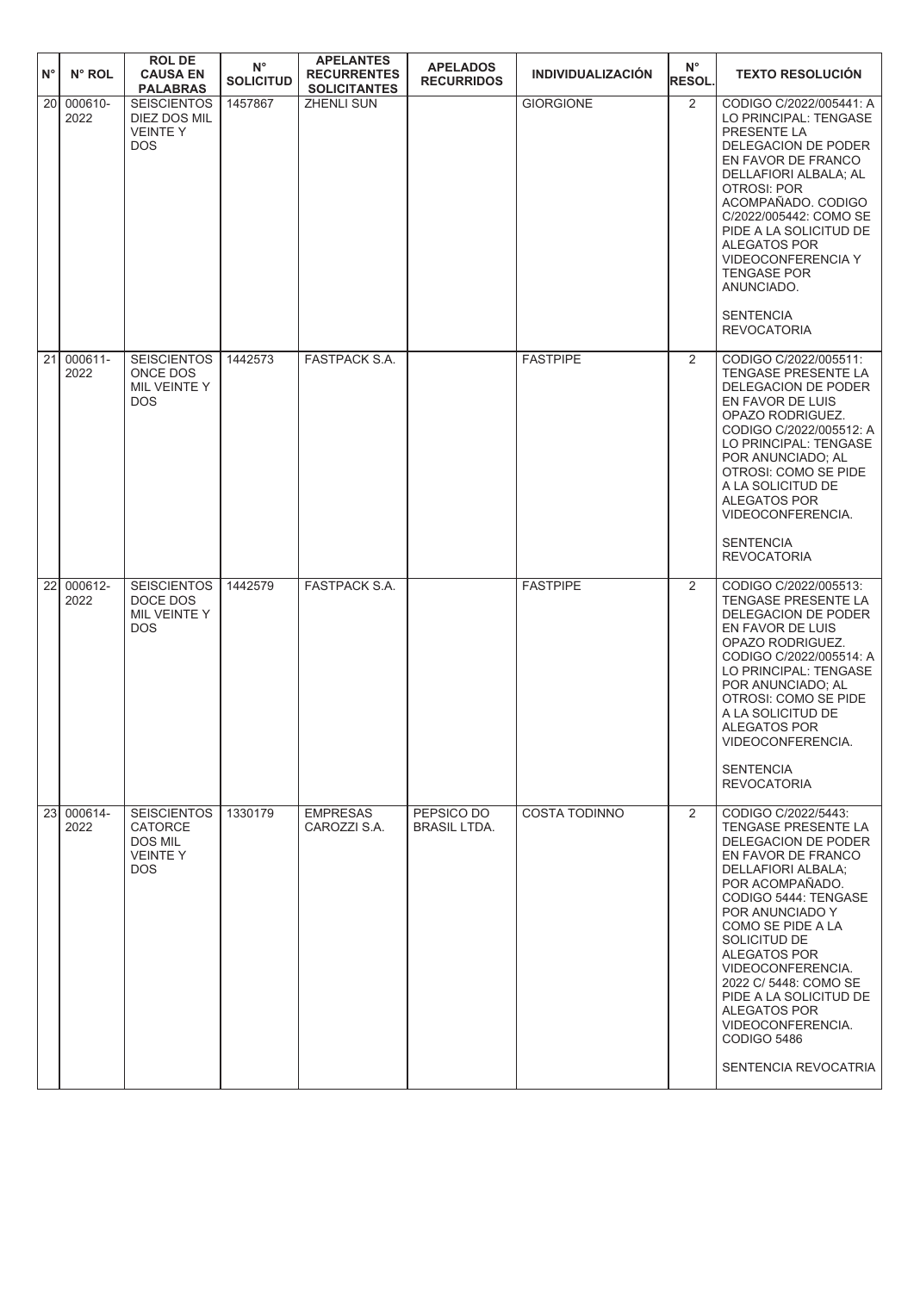| $N^{\circ}$ | N° ROL          | <b>ROL DE</b><br><b>CAUSA EN</b><br><b>PALABRAS</b>                              | $N^{\circ}$<br><b>SOLICITUD</b> | <b>APELANTES</b><br><b>RECURRENTES</b><br><b>SOLICITANTES</b> | <b>APELADOS</b><br><b>RECURRIDOS</b> | <b>INDIVIDUALIZACIÓN</b> | $N^{\circ}$<br><b>RESOL.</b> | <b>TEXTO RESOLUCIÓN</b>                                                                                                                                                                                                                                                                                                                                                                     |
|-------------|-----------------|----------------------------------------------------------------------------------|---------------------------------|---------------------------------------------------------------|--------------------------------------|--------------------------|------------------------------|---------------------------------------------------------------------------------------------------------------------------------------------------------------------------------------------------------------------------------------------------------------------------------------------------------------------------------------------------------------------------------------------|
| 20          | 000610-<br>2022 | <b>SEISCIENTOS</b><br>DIEZ DOS MIL<br><b>VEINTEY</b><br><b>DOS</b>               | 1457867                         | <b>ZHENLI SUN</b>                                             |                                      | <b>GIORGIONE</b>         | 2                            | CODIGO C/2022/005441: A<br>LO PRINCIPAL: TENGASE<br>PRESENTE LA<br>DELEGACION DE PODER<br>EN FAVOR DE FRANCO<br>DELLAFIORI ALBALA; AL<br><b>OTROSI: POR</b><br>ACOMPAÑADO. CODIGO<br>C/2022/005442: COMO SE<br>PIDE A LA SOLICITUD DE<br>ALEGATOS POR<br>VIDEOCONFERENCIA Y<br><b>TENGASE POR</b><br>ANUNCIADO.<br><b>SENTENCIA</b><br><b>REVOCATORIA</b>                                   |
| 21          | 000611-<br>2022 | <b>SEISCIENTOS</b><br>ONCE DOS<br>MIL VEINTE Y<br><b>DOS</b>                     | 1442573                         | <b>FASTPACK S.A.</b>                                          |                                      | <b>FASTPIPE</b>          | 2                            | CODIGO C/2022/005511:<br>TENGASE PRESENTE LA<br>DELEGACION DE PODER<br>EN FAVOR DE LUIS<br>OPAZO RODRIGUEZ.<br>CODIGO C/2022/005512: A<br>LO PRINCIPAL: TENGASE<br>POR ANUNCIADO; AL<br>OTROSI: COMO SE PIDE<br>A LA SOLICITUD DE<br><b>ALEGATOS POR</b><br>VIDEOCONFERENCIA.<br><b>SENTENCIA</b><br><b>REVOCATORIA</b>                                                                     |
| 22          | 000612-<br>2022 | <b>SEISCIENTOS</b><br>DOCE DOS<br>MIL VEINTE Y<br><b>DOS</b>                     | 1442579                         | <b>FASTPACK S.A.</b>                                          |                                      | <b>FASTPIPE</b>          | 2                            | CODIGO C/2022/005513:<br>TENGASE PRESENTE LA<br>DELEGACION DE PODER<br>EN FAVOR DE LUIS<br>OPAZO RODRIGUEZ.<br>CODIGO C/2022/005514: A<br>LO PRINCIPAL: TENGASE<br>POR ANUNCIADO; AL<br>OTROSI: COMO SE PIDE<br>A LA SOLICITUD DE<br>ALEGATOS POR<br>VIDEOCONFERENCIA.<br><b>SENTENCIA</b><br><b>REVOCATORIA</b>                                                                            |
| 23          | 000614-<br>2022 | <b>SEISCIENTOS</b><br><b>CATORCE</b><br><b>DOS MIL</b><br><b>VEINTEY</b><br>DOS. | 1330179                         | <b>EMPRESAS</b><br>CAROZZI S.A.                               | PEPSICO DO<br><b>BRASIL LTDA.</b>    | <b>COSTA TODINNO</b>     | 2                            | CODIGO C/2022/5443:<br>TENGASE PRESENTE LA<br>DELEGACION DE PODER<br>EN FAVOR DE FRANCO<br><b>DELLAFIORI ALBALA:</b><br>POR ACOMPAÑADO.<br>CODIGO 5444: TENGASE<br>POR ANUNCIADO Y<br>COMO SE PIDE A LA<br>SOLICITUD DE<br>ALEGATOS POR<br>VIDEOCONFERENCIA.<br>2022 C/ 5448: COMO SE<br>PIDE A LA SOLICITUD DE<br>ALEGATOS POR<br>VIDEOCONFERENCIA.<br>CODIGO 5486<br>SENTENCIA REVOCATRIA |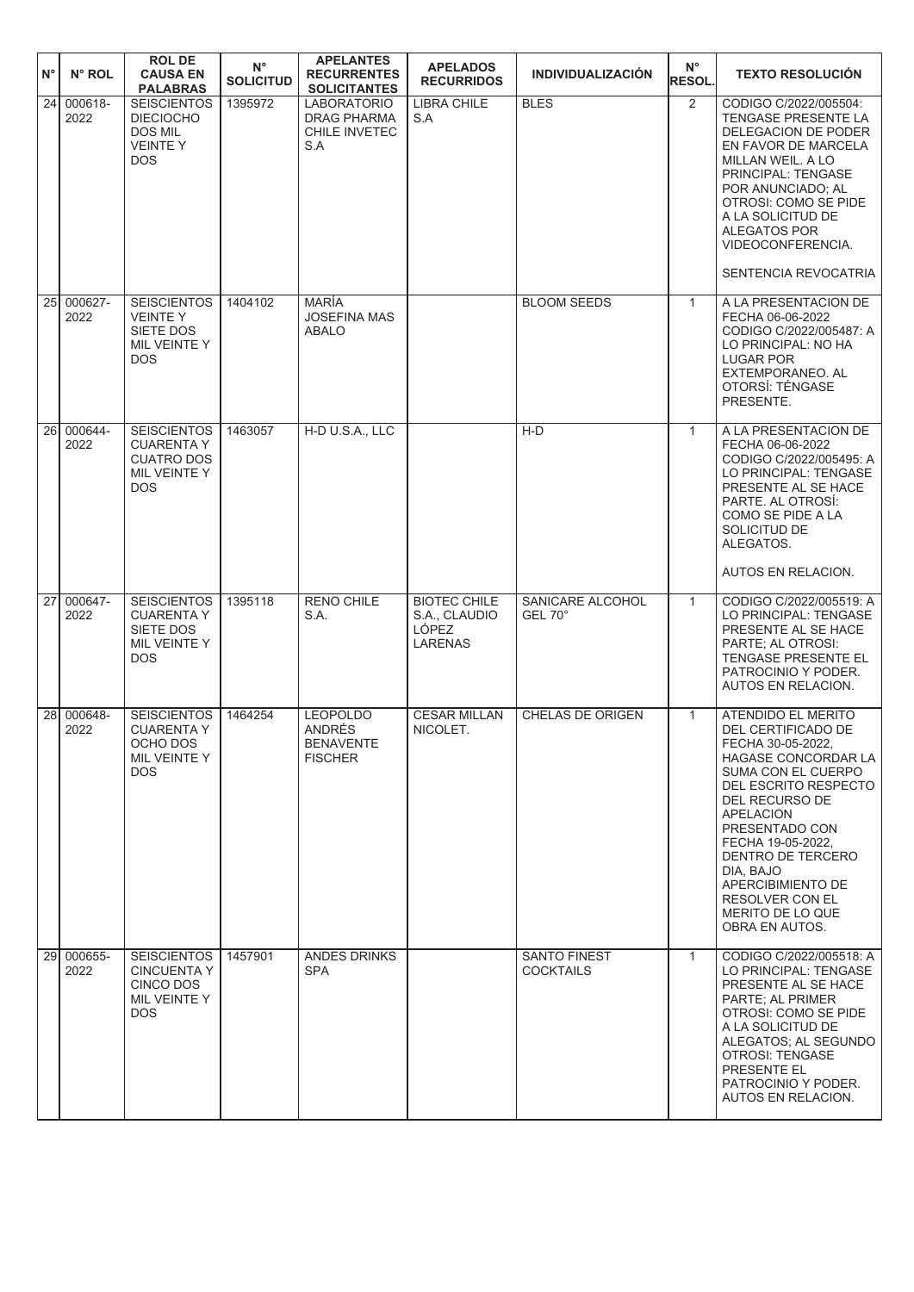| $N^{\circ}$ | N° ROL          | <b>ROL DE</b><br><b>CAUSA EN</b><br><b>PALABRAS</b>                                        | $\mathsf{N}^\circ$<br><b>SOLICITUD</b> | <b>APELANTES</b><br><b>RECURRENTES</b><br><b>SOLICITANTES</b>    | <b>APELADOS</b><br><b>RECURRIDOS</b>                                   | <b>INDIVIDUALIZACIÓN</b>                | $N^{\circ}$<br><b>RESOL.</b> | <b>TEXTO RESOLUCIÓN</b>                                                                                                                                                                                                                                                                                                                |
|-------------|-----------------|--------------------------------------------------------------------------------------------|----------------------------------------|------------------------------------------------------------------|------------------------------------------------------------------------|-----------------------------------------|------------------------------|----------------------------------------------------------------------------------------------------------------------------------------------------------------------------------------------------------------------------------------------------------------------------------------------------------------------------------------|
| 24          | 000618-<br>2022 | <b>SEISCIENTOS</b><br><b>DIECIOCHO</b><br><b>DOS MIL</b><br><b>VEINTEY</b><br><b>DOS</b>   | 1395972                                | <b>LABORATORIO</b><br><b>DRAG PHARMA</b><br>CHILE INVETEC<br>S.A | <b>LIBRA CHILE</b><br>S.A                                              | <b>BLES</b>                             | 2                            | CODIGO C/2022/005504:<br>TENGASE PRESENTE LA<br><b>DELEGACION DE PODER</b><br>EN FAVOR DE MARCELA<br>MILLAN WEIL, A LO<br>PRINCIPAL: TENGASE<br>POR ANUNCIADO; AL<br>OTROSI: COMO SE PIDE<br>A LA SOLICITUD DE<br>ALEGATOS POR<br>VIDEOCONFERENCIA.<br>SENTENCIA REVOCATRIA                                                            |
| 25I         | 000627-<br>2022 | <b>SEISCIENTOS</b><br><b>VEINTEY</b><br>SIETE DOS<br>MIL VEINTE Y<br><b>DOS</b>            | 1404102                                | <b>MARÍA</b><br><b>JOSEFINA MAS</b><br><b>ABALO</b>              |                                                                        | <b>BLOOM SEEDS</b>                      | $\mathbf{1}$                 | A LA PRESENTACION DE<br>FECHA 06-06-2022<br>CODIGO C/2022/005487: A<br>LO PRINCIPAL: NO HA<br><b>LUGAR POR</b><br>EXTEMPORANEO. AL<br>OTORSÍ: TÉNGASE<br>PRESENTE.                                                                                                                                                                     |
| 26I         | 000644-<br>2022 | <b>SEISCIENTOS</b><br><b>CUARENTA Y</b><br><b>CUATRO DOS</b><br>MIL VEINTE Y<br><b>DOS</b> | 1463057                                | H-D U.S.A., LLC                                                  |                                                                        | $H-D$                                   | $\mathbf{1}$                 | A LA PRESENTACION DE<br>FECHA 06-06-2022<br>CODIGO C/2022/005495: A<br>LO PRINCIPAL: TENGASE<br>PRESENTE AL SE HACE<br>PARTE. AL OTROSÍ:<br>COMO SE PIDE A LA<br>SOLICITUD DE<br>ALEGATOS.<br>AUTOS EN RELACION.                                                                                                                       |
| 27          | 000647-<br>2022 | <b>SEISCIENTOS</b><br><b>CUARENTA Y</b><br>SIETE DOS<br>MIL VEINTE Y<br><b>DOS</b>         | 1395118                                | <b>RENO CHILE</b><br>S.A.                                        | <b>BIOTEC CHILE</b><br>S.A., CLAUDIO<br><b>LÓPEZ</b><br><b>LARENAS</b> | SANICARE ALCOHOL<br>GEL 70°             | $\mathbf{1}$                 | CODIGO C/2022/005519: A<br>LO PRINCIPAL: TENGASE<br>PRESENTE AL SE HACE<br>PARTE; AL OTROSI:<br>TENGASE PRESENTE EL<br>PATROCINIO Y PODER.<br>AUTOS EN RELACION.                                                                                                                                                                       |
| 28          | 000648-<br>2022 | <b>SEISCIENTOS</b><br><b>CUARENTA Y</b><br>OCHO DOS<br>MIL VEINTE Y<br><b>DOS</b>          | 1464254                                | <b>LEOPOLDO</b><br>ANDRÉS<br><b>BENAVENTE</b><br><b>FISCHER</b>  | <b>CESAR MILLAN</b><br>NICOLET.                                        | CHELAS DE ORIGEN                        | $\mathbf{1}$                 | ATENDIDO EL MERITO<br>DEL CERTIFICADO DE<br>FECHA 30-05-2022,<br>HAGASE CONCORDAR LA<br>SUMA CON EL CUERPO<br>DEL ESCRITO RESPECTO<br>DEL RECURSO DE<br><b>APELACION</b><br>PRESENTADO CON<br>FECHA 19-05-2022,<br>DENTRO DE TERCERO<br>DIA, BAJO<br>APERCIBIMIENTO DE<br><b>RESOLVER CON EL</b><br>MERITO DE LO QUE<br>OBRA EN AUTOS. |
| 29          | 000655-<br>2022 | <b>SEISCIENTOS</b><br><b>CINCUENTA Y</b><br>CINCO DOS<br>MIL VEINTE Y<br>DOS.              | 1457901                                | <b>ANDES DRINKS</b><br><b>SPA</b>                                |                                                                        | <b>SANTO FINEST</b><br><b>COCKTAILS</b> | $\mathbf{1}$                 | CODIGO C/2022/005518: A<br>LO PRINCIPAL: TENGASE<br>PRESENTE AL SE HACE<br>PARTE; AL PRIMER<br>OTROSI: COMO SE PIDE<br>A LA SOLICITUD DE<br>ALEGATOS; AL SEGUNDO<br><b>OTROSI: TENGASE</b><br>PRESENTE EL<br>PATROCINIO Y PODER.<br>AUTOS EN RELACION.                                                                                 |